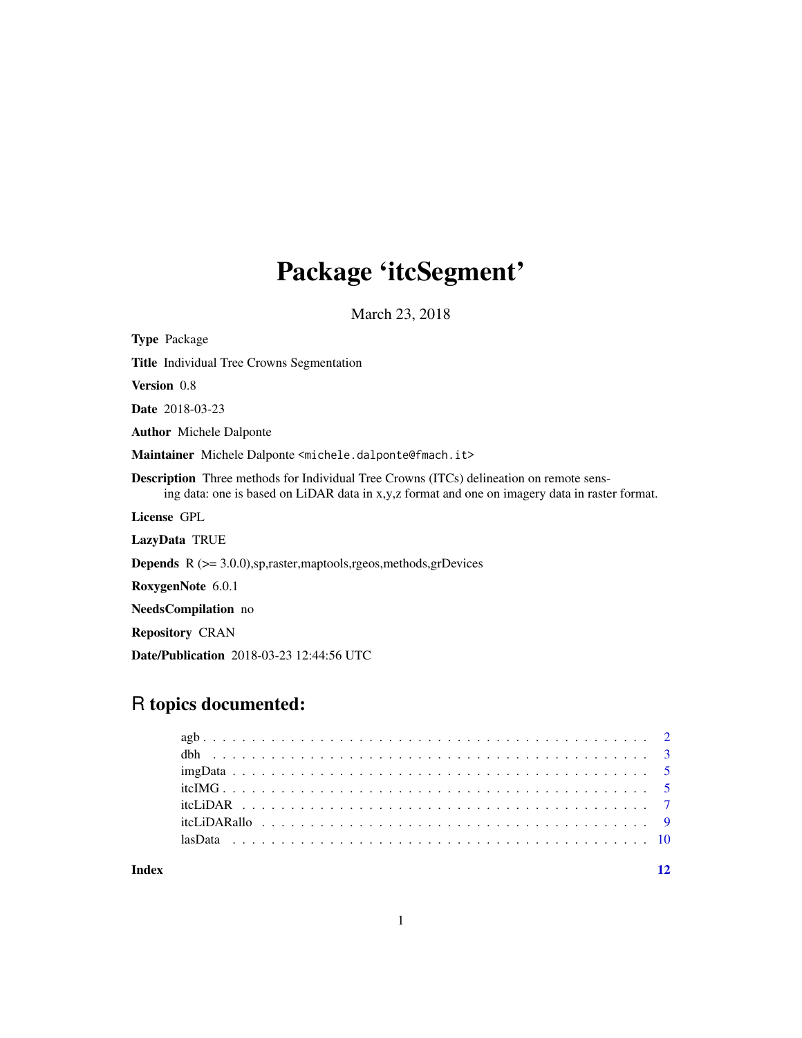## Package 'itcSegment'

March 23, 2018

Type Package Title Individual Tree Crowns Segmentation Version 0.8 Date 2018-03-23 Author Michele Dalponte Maintainer Michele Dalponte <michele.dalponte@fmach.it> Description Three methods for Individual Tree Crowns (ITCs) delineation on remote sensing data: one is based on LiDAR data in x,y,z format and one on imagery data in raster format. License GPL LazyData TRUE **Depends**  $R$  ( $>= 3.0.0$ ), sp, raster, maptools, rgeos, methods, grDevices RoxygenNote 6.0.1 NeedsCompilation no Repository CRAN Date/Publication 2018-03-23 12:44:56 UTC

### R topics documented:

**Index** [12](#page-11-0)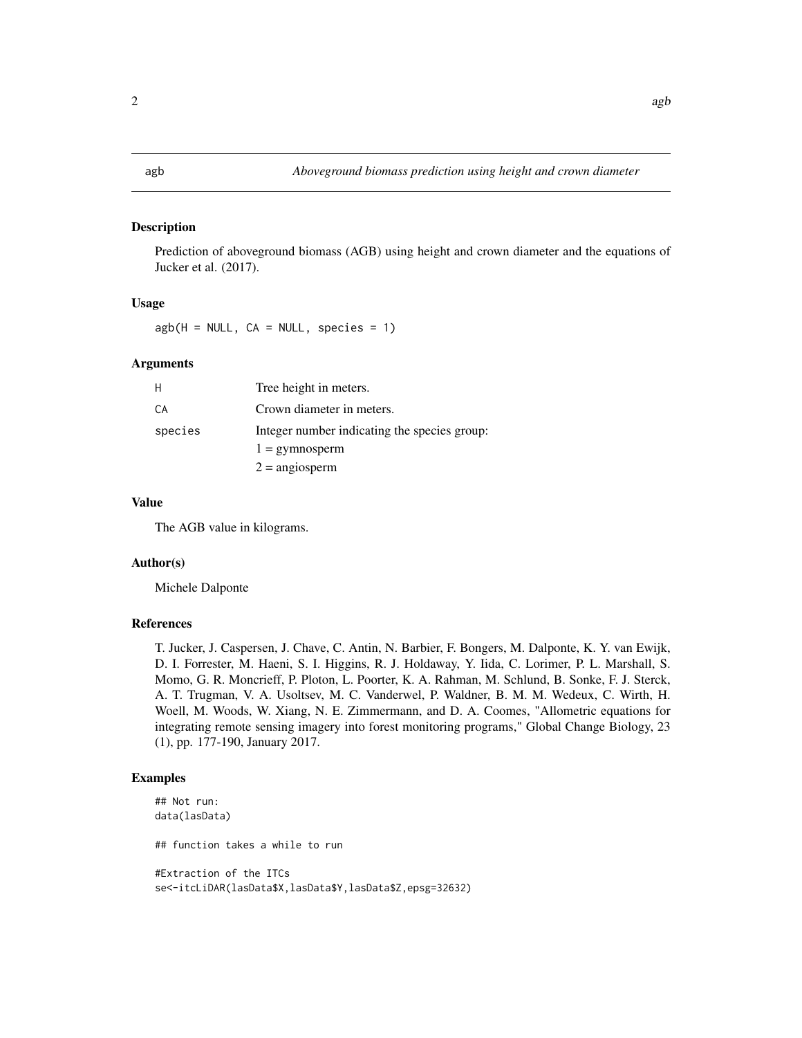#### <span id="page-1-0"></span>Description

Prediction of aboveground biomass (AGB) using height and crown diameter and the equations of Jucker et al. (2017).

#### Usage

 $agb(H = NULL, CA = NULL, species = 1)$ 

#### Arguments

|         | Tree height in meters.                       |
|---------|----------------------------------------------|
| СA      | Crown diameter in meters.                    |
| species | Integer number indicating the species group: |
|         | $1 =$ gymnosperm                             |
|         | $2 = \text{angiosperm}$                      |

#### Value

The AGB value in kilograms.

#### Author(s)

Michele Dalponte

#### References

T. Jucker, J. Caspersen, J. Chave, C. Antin, N. Barbier, F. Bongers, M. Dalponte, K. Y. van Ewijk, D. I. Forrester, M. Haeni, S. I. Higgins, R. J. Holdaway, Y. Iida, C. Lorimer, P. L. Marshall, S. Momo, G. R. Moncrieff, P. Ploton, L. Poorter, K. A. Rahman, M. Schlund, B. Sonke, F. J. Sterck, A. T. Trugman, V. A. Usoltsev, M. C. Vanderwel, P. Waldner, B. M. M. Wedeux, C. Wirth, H. Woell, M. Woods, W. Xiang, N. E. Zimmermann, and D. A. Coomes, "Allometric equations for integrating remote sensing imagery into forest monitoring programs," Global Change Biology, 23 (1), pp. 177-190, January 2017.

#### Examples

```
## Not run:
data(lasData)
## function takes a while to run
#Extraction of the ITCs
se<-itcLiDAR(lasData$X,lasData$Y,lasData$Z,epsg=32632)
```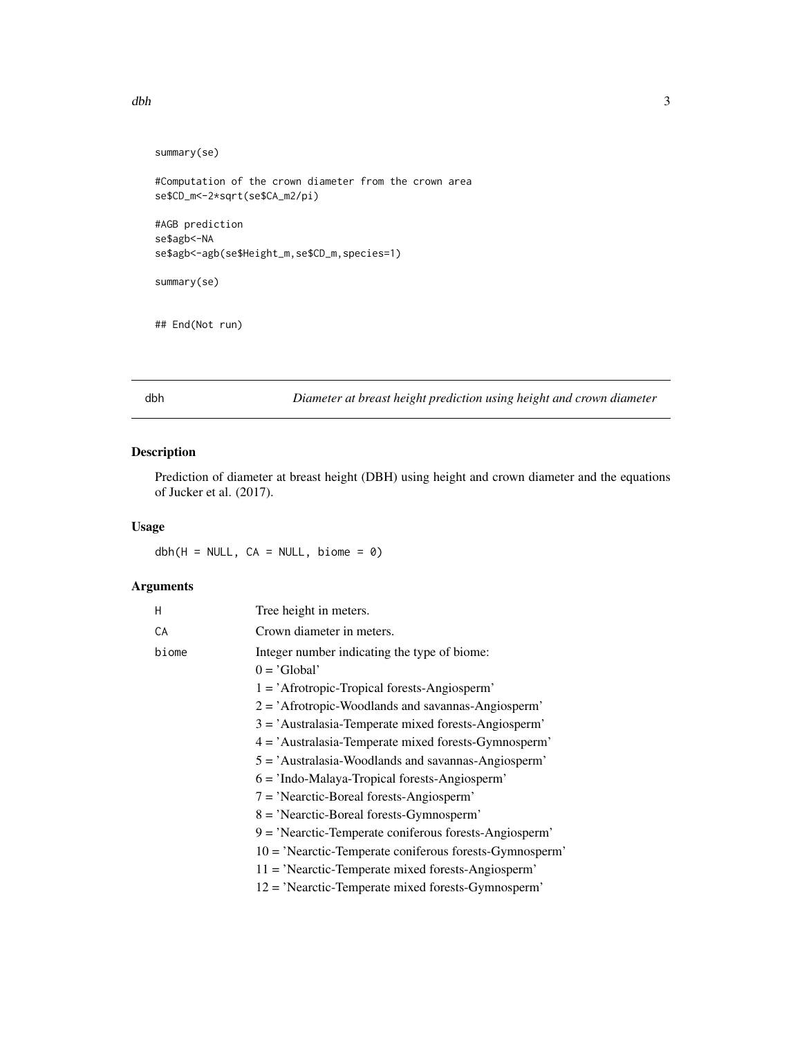```
summary(se)
```

```
#Computation of the crown diameter from the crown area
se$CD_m<-2*sqrt(se$CA_m2/pi)
#AGB prediction
se$agb<-NA
se$agb<-agb(se$Height_m,se$CD_m,species=1)
summary(se)
```

```
## End(Not run)
```
dbh *Diameter at breast height prediction using height and crown diameter*

#### Description

Prediction of diameter at breast height (DBH) using height and crown diameter and the equations of Jucker et al. (2017).

#### Usage

 $dbh(H = NULL, CA = NULL, bione = 0)$ 

#### Arguments

| н     | Tree height in meters.                                                                                                                                                                                                                                                                                                                                                                                                                                                                                                                                                                                                                                                                                                                            |
|-------|---------------------------------------------------------------------------------------------------------------------------------------------------------------------------------------------------------------------------------------------------------------------------------------------------------------------------------------------------------------------------------------------------------------------------------------------------------------------------------------------------------------------------------------------------------------------------------------------------------------------------------------------------------------------------------------------------------------------------------------------------|
| CA    | Crown diameter in meters.                                                                                                                                                                                                                                                                                                                                                                                                                                                                                                                                                                                                                                                                                                                         |
| biome | Integer number indicating the type of biome:<br>$0 = 'Global'$<br>$1 = 'A$ frotropic-Tropical forests-Angiosperm'<br>$2 = 'A$ frotropic-Woodlands and savannas-Angiosperm'<br>$3 = 'Australasia-Temperature mixed forests-Angiosperm'$<br>$4 = 'Australasia-Temperate mixed forests-Gymnosperm'$<br>5 = 'Australasia-Woodlands and savannas-Angiosperm'<br>$6 = 'Indo-Malaya-Tropical forests-Angiosperm'$<br>$7 =$ 'Nearctic-Boreal forests-Angiosperm'<br>$8 = 'Nearctic-Boreal forests-Gymnosperm'$<br>$9 = 'Nearctic-Temperature coniferous forests-Angiosperm'$<br>$10 = 'Nearctic-Temperature$ conferous forests-Gymnosperm'<br>11 = 'Nearctic-Temperate mixed forests-Angiosperm'<br>$12 = 'Nearctic$ -Temperate mixed forests-Gymnosperm' |
|       |                                                                                                                                                                                                                                                                                                                                                                                                                                                                                                                                                                                                                                                                                                                                                   |

<span id="page-2-0"></span>dbh <sup>3</sup>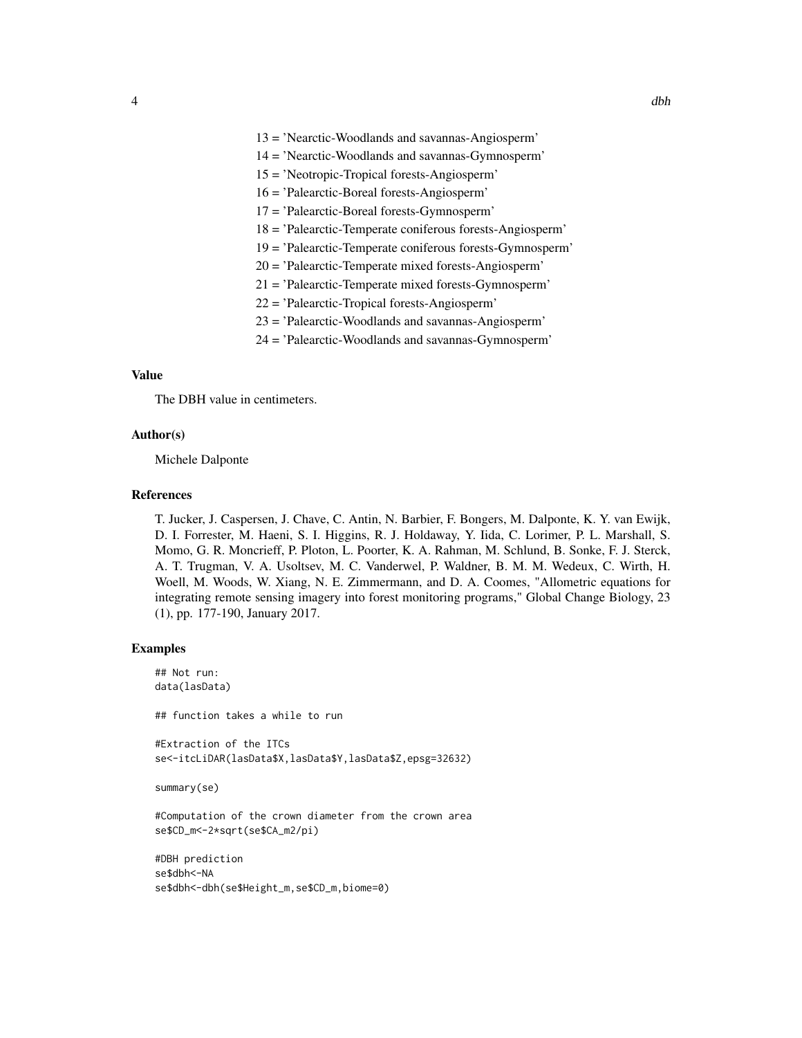- 13 = 'Nearctic-Woodlands and savannas-Angiosperm'
- 14 = 'Nearctic-Woodlands and savannas-Gymnosperm'
- 15 = 'Neotropic-Tropical forests-Angiosperm'
- 16 = 'Palearctic-Boreal forests-Angiosperm'
- 17 = 'Palearctic-Boreal forests-Gymnosperm'
- 18 = 'Palearctic-Temperate coniferous forests-Angiosperm'
- 19 = 'Palearctic-Temperate coniferous forests-Gymnosperm'
- 20 = 'Palearctic-Temperate mixed forests-Angiosperm'
- 21 = 'Palearctic-Temperate mixed forests-Gymnosperm'
- 22 = 'Palearctic-Tropical forests-Angiosperm'
- 23 = 'Palearctic-Woodlands and savannas-Angiosperm'
- 24 = 'Palearctic-Woodlands and savannas-Gymnosperm'

#### Value

The DBH value in centimeters.

#### Author(s)

Michele Dalponte

#### References

T. Jucker, J. Caspersen, J. Chave, C. Antin, N. Barbier, F. Bongers, M. Dalponte, K. Y. van Ewijk, D. I. Forrester, M. Haeni, S. I. Higgins, R. J. Holdaway, Y. Iida, C. Lorimer, P. L. Marshall, S. Momo, G. R. Moncrieff, P. Ploton, L. Poorter, K. A. Rahman, M. Schlund, B. Sonke, F. J. Sterck, A. T. Trugman, V. A. Usoltsev, M. C. Vanderwel, P. Waldner, B. M. M. Wedeux, C. Wirth, H. Woell, M. Woods, W. Xiang, N. E. Zimmermann, and D. A. Coomes, "Allometric equations for integrating remote sensing imagery into forest monitoring programs," Global Change Biology, 23 (1), pp. 177-190, January 2017.

#### Examples

```
## Not run:
data(lasData)
## function takes a while to run
#Extraction of the ITCs
se<-itcLiDAR(lasData$X,lasData$Y,lasData$Z,epsg=32632)
summary(se)
#Computation of the crown diameter from the crown area
se$CD_m<-2*sqrt(se$CA_m2/pi)
#DBH prediction
se$dbh<-NA
```

```
se$dbh<-dbh(se$Height_m,se$CD_m,biome=0)
```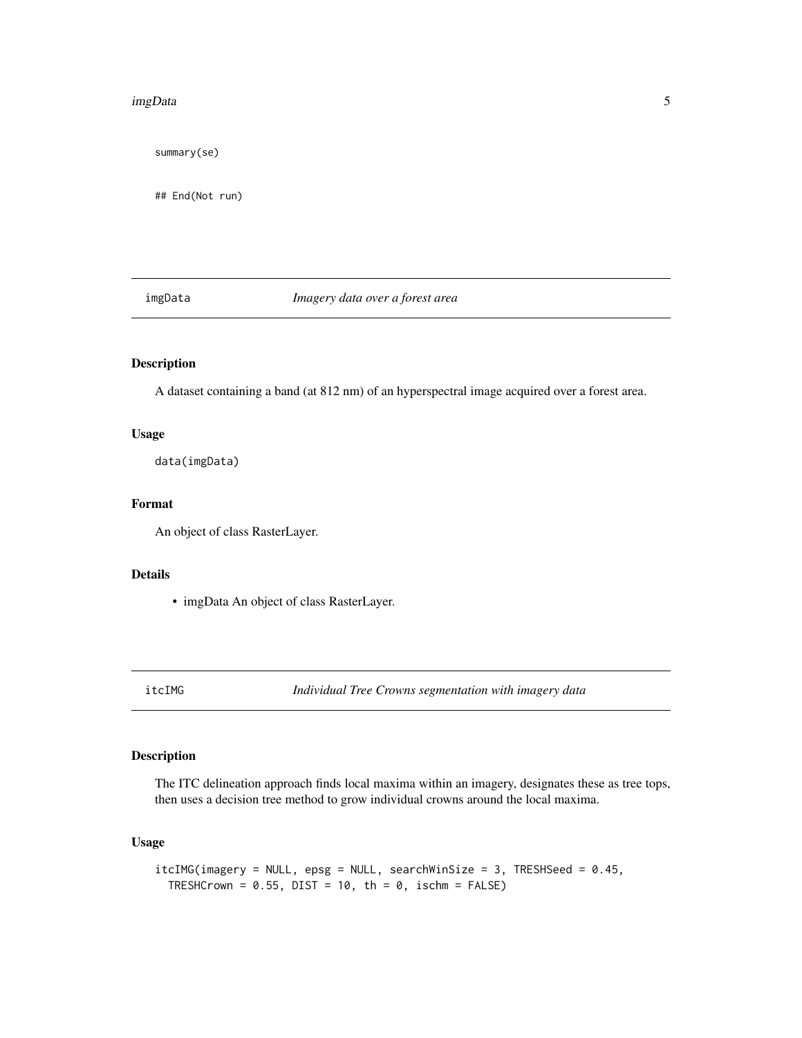#### <span id="page-4-0"></span>imgData 5

summary(se)

## End(Not run)

imgData *Imagery data over a forest area*

#### Description

A dataset containing a band (at 812 nm) of an hyperspectral image acquired over a forest area.

#### Usage

data(imgData)

#### Format

An object of class RasterLayer.

#### Details

• imgData An object of class RasterLayer.

itcIMG *Individual Tree Crowns segmentation with imagery data*

### Description

The ITC delineation approach finds local maxima within an imagery, designates these as tree tops, then uses a decision tree method to grow individual crowns around the local maxima.

#### Usage

```
itcIMG(imagery = NULL, epsg = NULL, searchWinSize = 3, TRESHSeed = 0.45,
 TRESHCrown = 0.55, DIST = 10, th = 0, ischm = FALSE)
```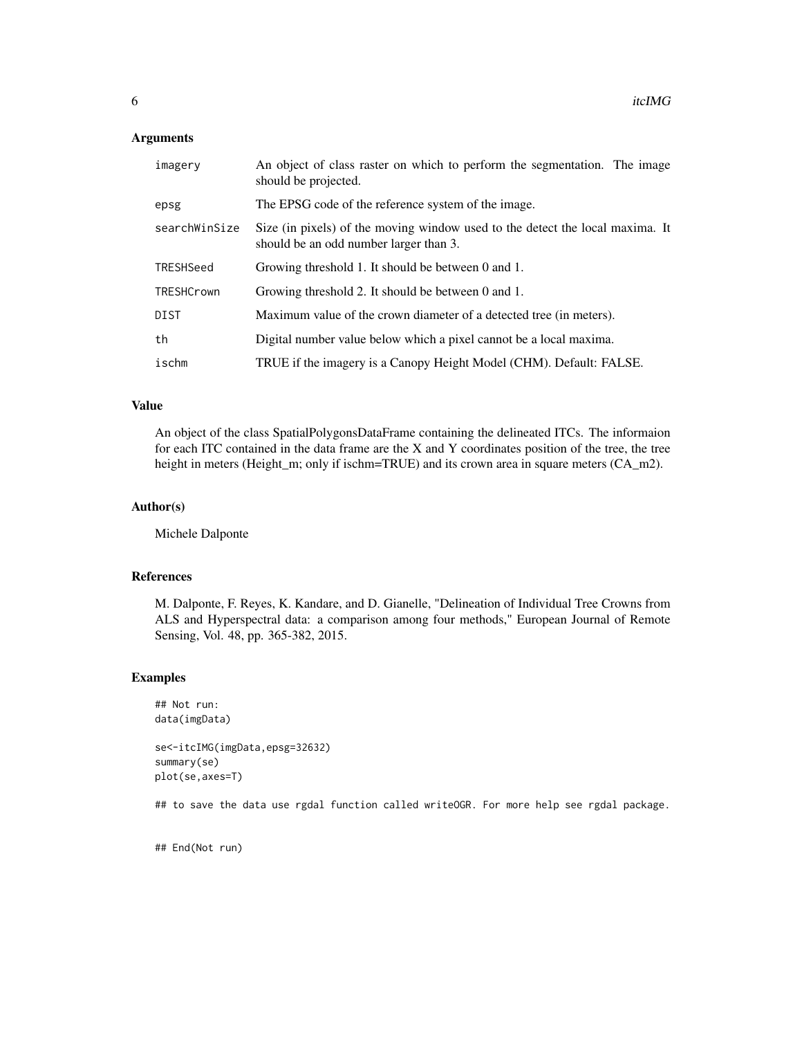#### Arguments

| imagery       | An object of class raster on which to perform the segmentation. The image<br>should be projected.                       |
|---------------|-------------------------------------------------------------------------------------------------------------------------|
| epsg          | The EPSG code of the reference system of the image.                                                                     |
| searchWinSize | Size (in pixels) of the moving window used to the detect the local maxima. It<br>should be an odd number larger than 3. |
| TRESHSeed     | Growing threshold 1. It should be between 0 and 1.                                                                      |
| TRESHCrown    | Growing threshold 2. It should be between 0 and 1.                                                                      |
| DIST          | Maximum value of the crown diameter of a detected tree (in meters).                                                     |
| th            | Digital number value below which a pixel cannot be a local maxima.                                                      |
| ischm         | TRUE if the imagery is a Canopy Height Model (CHM). Default: FALSE.                                                     |

#### Value

An object of the class SpatialPolygonsDataFrame containing the delineated ITCs. The informaion for each ITC contained in the data frame are the X and Y coordinates position of the tree, the tree height in meters (Height\_m; only if ischm=TRUE) and its crown area in square meters (CA\_m2).

#### Author(s)

Michele Dalponte

#### References

M. Dalponte, F. Reyes, K. Kandare, and D. Gianelle, "Delineation of Individual Tree Crowns from ALS and Hyperspectral data: a comparison among four methods," European Journal of Remote Sensing, Vol. 48, pp. 365-382, 2015.

#### Examples

```
## Not run:
data(imgData)
```

```
se<-itcIMG(imgData,epsg=32632)
summary(se)
plot(se,axes=T)
```
## to save the data use rgdal function called writeOGR. For more help see rgdal package.

## End(Not run)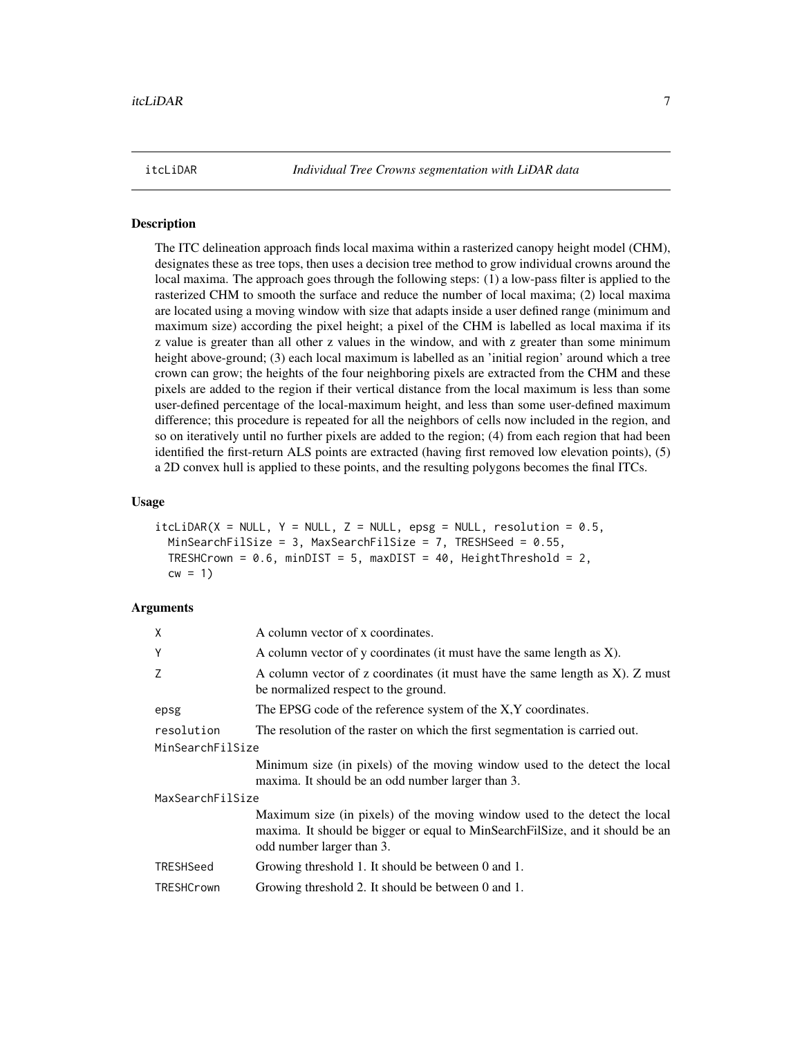<span id="page-6-0"></span>itcLiDAR *Individual Tree Crowns segmentation with LiDAR data*

#### Description

The ITC delineation approach finds local maxima within a rasterized canopy height model (CHM), designates these as tree tops, then uses a decision tree method to grow individual crowns around the local maxima. The approach goes through the following steps: (1) a low-pass filter is applied to the rasterized CHM to smooth the surface and reduce the number of local maxima; (2) local maxima are located using a moving window with size that adapts inside a user defined range (minimum and maximum size) according the pixel height; a pixel of the CHM is labelled as local maxima if its z value is greater than all other z values in the window, and with z greater than some minimum height above-ground; (3) each local maximum is labelled as an 'initial region' around which a tree crown can grow; the heights of the four neighboring pixels are extracted from the CHM and these pixels are added to the region if their vertical distance from the local maximum is less than some user-defined percentage of the local-maximum height, and less than some user-defined maximum difference; this procedure is repeated for all the neighbors of cells now included in the region, and so on iteratively until no further pixels are added to the region; (4) from each region that had been identified the first-return ALS points are extracted (having first removed low elevation points), (5) a 2D convex hull is applied to these points, and the resulting polygons becomes the final ITCs.

#### Usage

```
itclIDAR(X = NULL, Y = NULL, Z = NULL, epsg = NULL, resolution = 0.5,MinSearchFilSize = 3, MaxSearchFilSize = 7, TRESHSeed = 0.55,
 TRESHCrown = 0.6, minDIST = 5, maxDIST = 40, HeightThreshold = 2,
  cw = 1
```
#### Arguments

| X                | A column vector of x coordinates.                                                                                                                                                        |
|------------------|------------------------------------------------------------------------------------------------------------------------------------------------------------------------------------------|
| Y                | A column vector of y coordinates (it must have the same length as X).                                                                                                                    |
| Z                | A column vector of z coordinates (it must have the same length as X). Z must<br>be normalized respect to the ground.                                                                     |
| epsg             | The EPSG code of the reference system of the X,Y coordinates.                                                                                                                            |
| resolution       | The resolution of the raster on which the first segmentation is carried out.                                                                                                             |
| MinSearchFilSize |                                                                                                                                                                                          |
|                  | Minimum size (in pixels) of the moving window used to the detect the local<br>maxima. It should be an odd number larger than 3.                                                          |
| MaxSearchFilSize |                                                                                                                                                                                          |
|                  | Maximum size (in pixels) of the moving window used to the detect the local<br>maxima. It should be bigger or equal to MinSearchFilSize, and it should be an<br>odd number larger than 3. |
| TRESHSeed        | Growing threshold 1. It should be between 0 and 1.                                                                                                                                       |
| TRESHCrown       | Growing threshold 2. It should be between 0 and 1.                                                                                                                                       |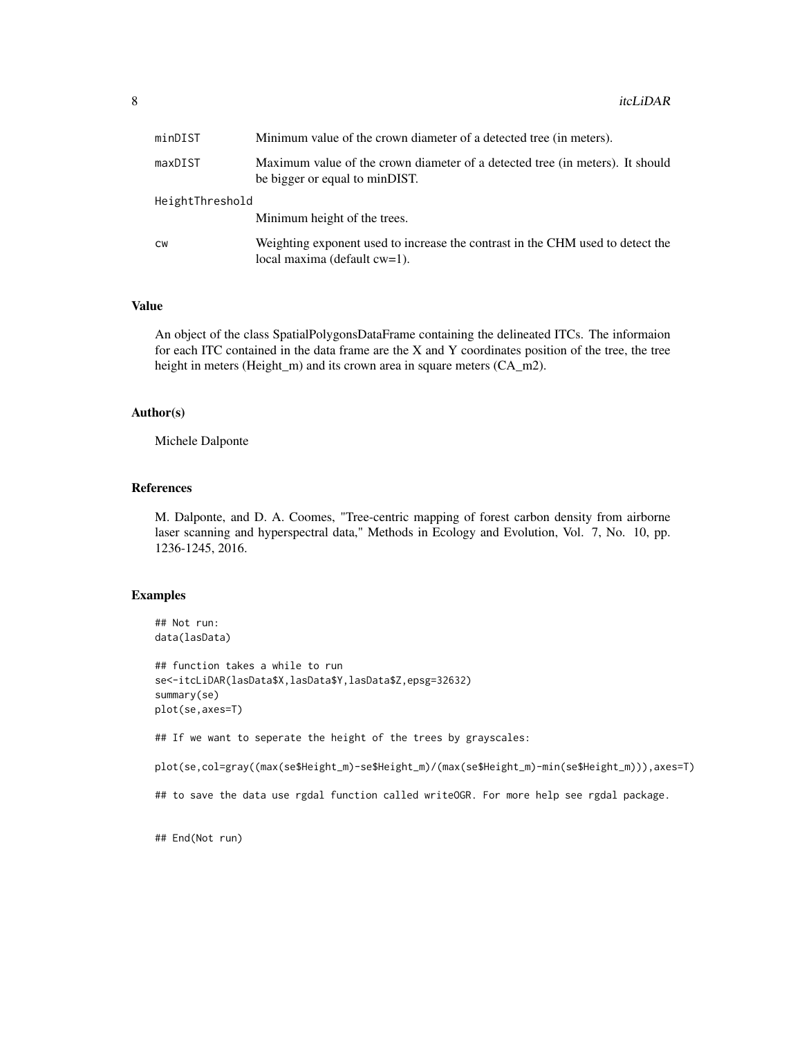| minDIST         | Minimum value of the crown diameter of a detected tree (in meters).                                               |
|-----------------|-------------------------------------------------------------------------------------------------------------------|
| maxDIST         | Maximum value of the crown diameter of a detected tree (in meters). It should<br>be bigger or equal to minDIST.   |
| HeightThreshold |                                                                                                                   |
|                 | Minimum height of the trees.                                                                                      |
| <b>CW</b>       | Weighting exponent used to increase the contrast in the CHM used to detect the<br>local maxima (default $cw=1$ ). |

#### Value

An object of the class SpatialPolygonsDataFrame containing the delineated ITCs. The informaion for each ITC contained in the data frame are the X and Y coordinates position of the tree, the tree height in meters (Height\_m) and its crown area in square meters (CA\_m2).

#### Author(s)

Michele Dalponte

#### References

M. Dalponte, and D. A. Coomes, "Tree-centric mapping of forest carbon density from airborne laser scanning and hyperspectral data," Methods in Ecology and Evolution, Vol. 7, No. 10, pp. 1236-1245, 2016.

#### Examples

```
## Not run:
data(lasData)
```
## function takes a while to run se<-itcLiDAR(lasData\$X,lasData\$Y,lasData\$Z,epsg=32632) summary(se) plot(se,axes=T)

## If we want to seperate the height of the trees by grayscales:

plot(se,col=gray((max(se\$Height\_m)-se\$Height\_m)/(max(se\$Height\_m)-min(se\$Height\_m))),axes=T)

## to save the data use rgdal function called writeOGR. For more help see rgdal package.

## End(Not run)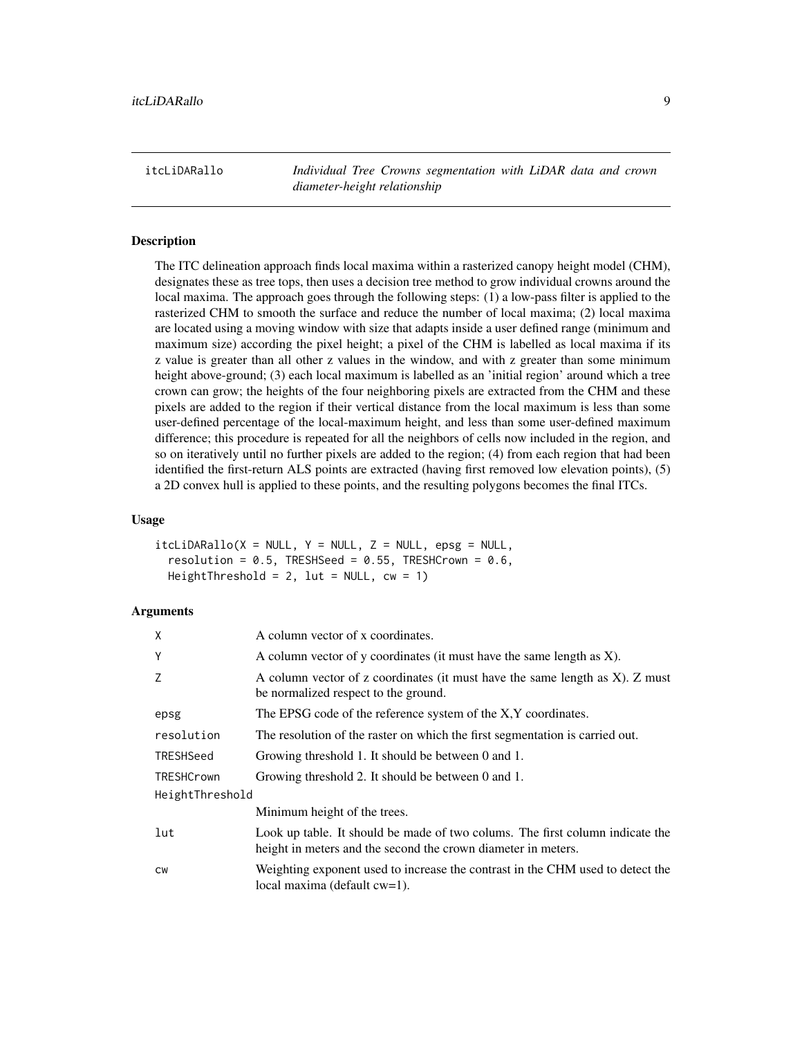<span id="page-8-0"></span>itcLiDARallo *Individual Tree Crowns segmentation with LiDAR data and crown diameter-height relationship*

#### **Description**

The ITC delineation approach finds local maxima within a rasterized canopy height model (CHM), designates these as tree tops, then uses a decision tree method to grow individual crowns around the local maxima. The approach goes through the following steps: (1) a low-pass filter is applied to the rasterized CHM to smooth the surface and reduce the number of local maxima; (2) local maxima are located using a moving window with size that adapts inside a user defined range (minimum and maximum size) according the pixel height; a pixel of the CHM is labelled as local maxima if its z value is greater than all other z values in the window, and with z greater than some minimum height above-ground; (3) each local maximum is labelled as an 'initial region' around which a tree crown can grow; the heights of the four neighboring pixels are extracted from the CHM and these pixels are added to the region if their vertical distance from the local maximum is less than some user-defined percentage of the local-maximum height, and less than some user-defined maximum difference; this procedure is repeated for all the neighbors of cells now included in the region, and so on iteratively until no further pixels are added to the region; (4) from each region that had been identified the first-return ALS points are extracted (having first removed low elevation points), (5) a 2D convex hull is applied to these points, and the resulting polygons becomes the final ITCs.

#### Usage

 $itcliDARallo(X = NULL, Y = NULL, Z = NULL, epsg = NULL,$ resolution =  $0.5$ , TRESHSeed =  $0.55$ , TRESHCrown =  $0.6$ , HeightThreshold = 2, lut =  $NULL, cw = 1)$ 

#### Arguments

| X                 | A column vector of x coordinates.                                                                                                              |
|-------------------|------------------------------------------------------------------------------------------------------------------------------------------------|
| Y                 | A column vector of y coordinates (it must have the same length as X).                                                                          |
| Z                 | A column vector of z coordinates (it must have the same length as X). Z must<br>be normalized respect to the ground.                           |
| epsg              | The EPSG code of the reference system of the X,Y coordinates.                                                                                  |
| resolution        | The resolution of the raster on which the first segmentation is carried out.                                                                   |
| TRESHSeed         | Growing threshold 1. It should be between 0 and 1.                                                                                             |
| <b>TRESHCrown</b> | Growing threshold 2. It should be between 0 and 1.                                                                                             |
| HeightThreshold   |                                                                                                                                                |
|                   | Minimum height of the trees.                                                                                                                   |
| lut               | Look up table. It should be made of two colums. The first column indicate the<br>height in meters and the second the crown diameter in meters. |
| <b>CW</b>         | Weighting exponent used to increase the contrast in the CHM used to detect the<br>local maxima (default cw=1).                                 |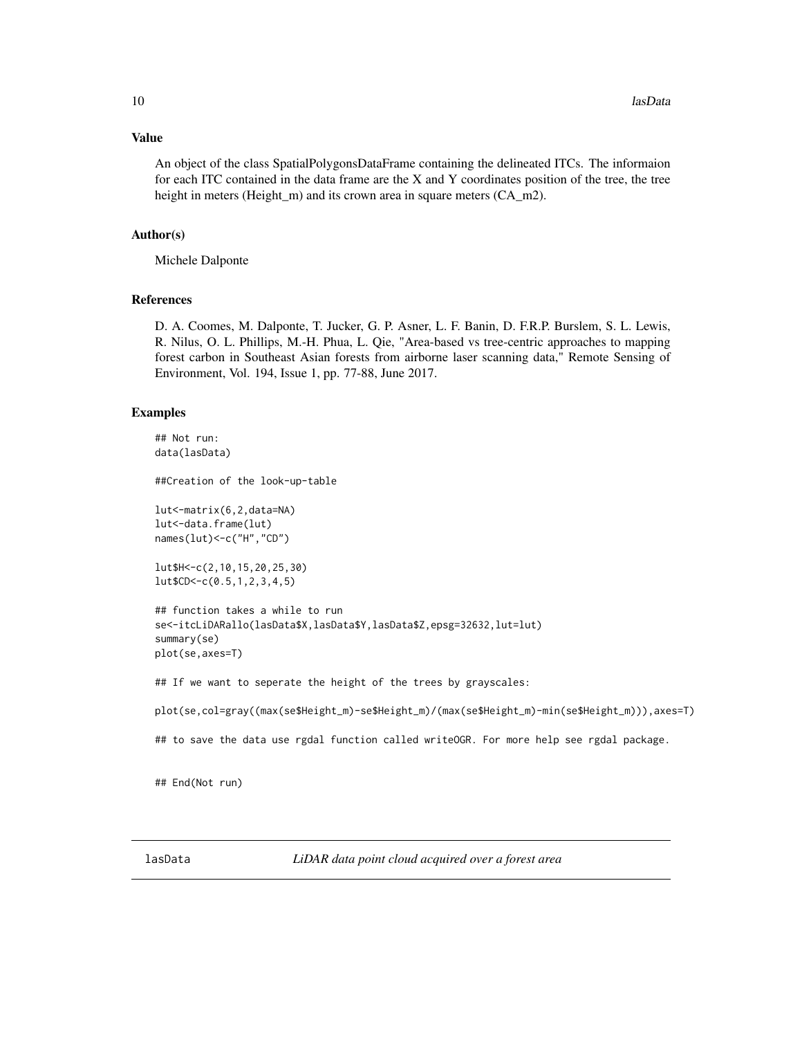#### <span id="page-9-0"></span>Value

An object of the class SpatialPolygonsDataFrame containing the delineated ITCs. The informaion for each ITC contained in the data frame are the X and Y coordinates position of the tree, the tree height in meters (Height\_m) and its crown area in square meters (CA\_m2).

#### Author(s)

Michele Dalponte

#### References

D. A. Coomes, M. Dalponte, T. Jucker, G. P. Asner, L. F. Banin, D. F.R.P. Burslem, S. L. Lewis, R. Nilus, O. L. Phillips, M.-H. Phua, L. Qie, "Area-based vs tree-centric approaches to mapping forest carbon in Southeast Asian forests from airborne laser scanning data," Remote Sensing of Environment, Vol. 194, Issue 1, pp. 77-88, June 2017.

#### Examples

```
## Not run:
data(lasData)
##Creation of the look-up-table
lut<-matrix(6,2,data=NA)
lut<-data.frame(lut)
names(lut)<-c("H","CD")
lut$H<-c(2,10,15,20,25,30)
lut$CD<-c(0.5,1,2,3,4,5)
## function takes a while to run
se<-itcLiDARallo(lasData$X,lasData$Y,lasData$Z,epsg=32632,lut=lut)
summary(se)
plot(se,axes=T)
## If we want to seperate the height of the trees by grayscales:
plot(se,col=gray((max(se$Height_m)-se$Height_m)/(max(se$Height_m)-min(se$Height_m))),axes=T)
```
## to save the data use rgdal function called writeOGR. For more help see rgdal package.

## End(Not run)

lasData *LiDAR data point cloud acquired over a forest area*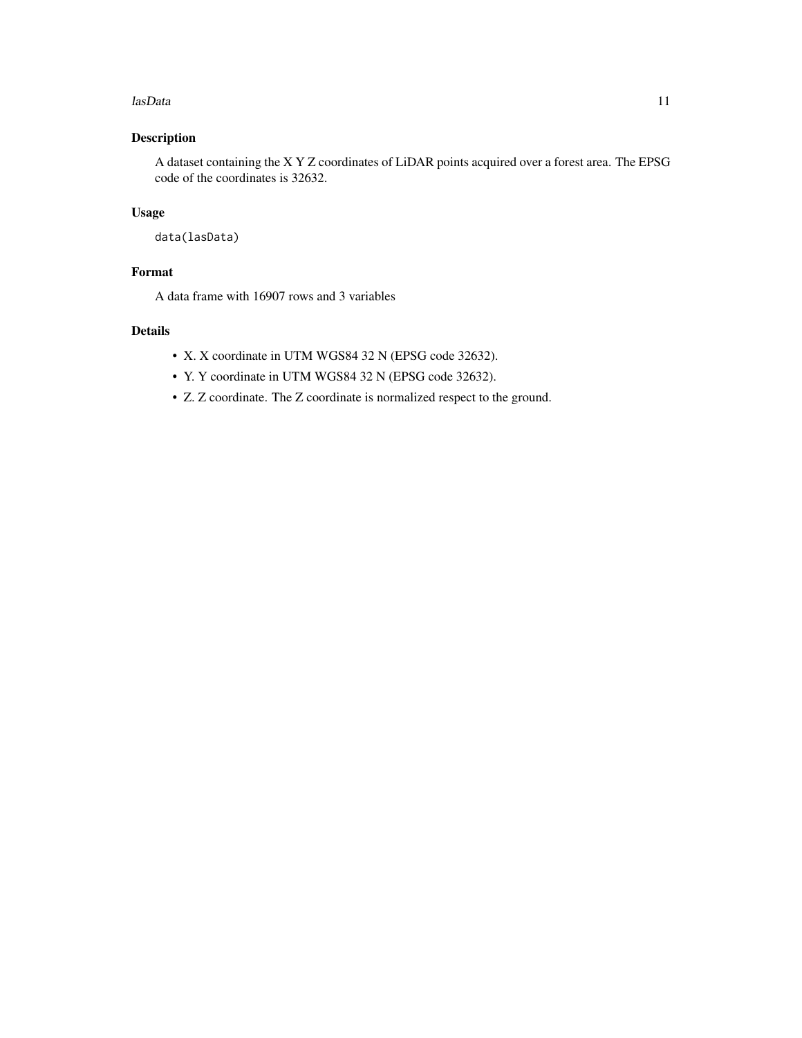#### lasData and the contract of the contract of the contract of the contract of the contract of the contract of the contract of the contract of the contract of the contract of the contract of the contract of the contract of th

### Description

A dataset containing the X Y Z coordinates of LiDAR points acquired over a forest area. The EPSG code of the coordinates is 32632.

#### Usage

```
data(lasData)
```
#### Format

A data frame with 16907 rows and 3 variables

### Details

- X. X coordinate in UTM WGS84 32 N (EPSG code 32632).
- Y. Y coordinate in UTM WGS84 32 N (EPSG code 32632).
- Z. Z coordinate. The Z coordinate is normalized respect to the ground.